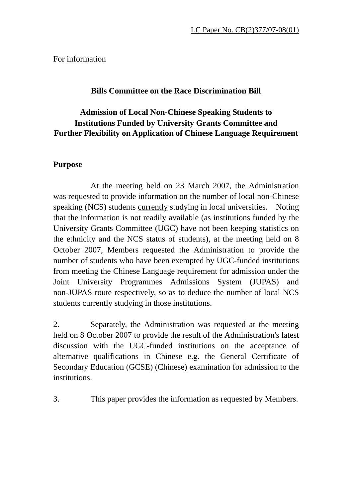For information

## **Bills Committee on the Race Discrimination Bill**

# **Admission of Local Non-Chinese Speaking Students to Institutions Funded by University Grants Committee and Further Flexibility on Application of Chinese Language Requirement**

## **Purpose**

 At the meeting held on 23 March 2007, the Administration was requested to provide information on the number of local non-Chinese speaking (NCS) students currently studying in local universities. Noting that the information is not readily available (as institutions funded by the University Grants Committee (UGC) have not been keeping statistics on the ethnicity and the NCS status of students), at the meeting held on 8 October 2007, Members requested the Administration to provide the number of students who have been exempted by UGC-funded institutions from meeting the Chinese Language requirement for admission under the Joint University Programmes Admissions System (JUPAS) and non-JUPAS route respectively, so as to deduce the number of local NCS students currently studying in those institutions.

2. Separately, the Administration was requested at the meeting held on 8 October 2007 to provide the result of the Administration's latest discussion with the UGC-funded institutions on the acceptance of alternative qualifications in Chinese e.g. the General Certificate of Secondary Education (GCSE) (Chinese) examination for admission to the institutions.

3. This paper provides the information as requested by Members.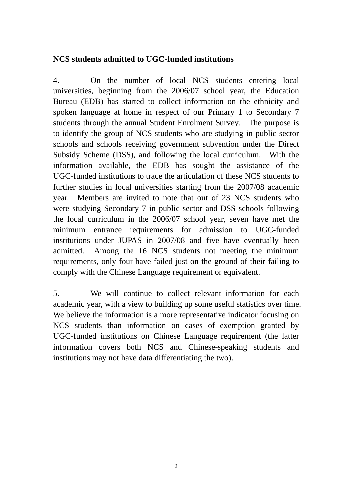### **NCS students admitted to UGC-funded institutions**

4. On the number of local NCS students entering local universities, beginning from the 2006/07 school year, the Education Bureau (EDB) has started to collect information on the ethnicity and spoken language at home in respect of our Primary 1 to Secondary 7 students through the annual Student Enrolment Survey. The purpose is to identify the group of NCS students who are studying in public sector schools and schools receiving government subvention under the Direct Subsidy Scheme (DSS), and following the local curriculum. With the information available, the EDB has sought the assistance of the UGC-funded institutions to trace the articulation of these NCS students to further studies in local universities starting from the 2007/08 academic year. Members are invited to note that out of 23 NCS students who were studying Secondary 7 in public sector and DSS schools following the local curriculum in the 2006/07 school year, seven have met the minimum entrance requirements for admission to UGC-funded institutions under JUPAS in 2007/08 and five have eventually been admitted. Among the 16 NCS students not meeting the minimum requirements, only four have failed just on the ground of their failing to comply with the Chinese Language requirement or equivalent.

5. We will continue to collect relevant information for each academic year, with a view to building up some useful statistics over time. We believe the information is a more representative indicator focusing on NCS students than information on cases of exemption granted by UGC-funded institutions on Chinese Language requirement (the latter information covers both NCS and Chinese-speaking students and institutions may not have data differentiating the two).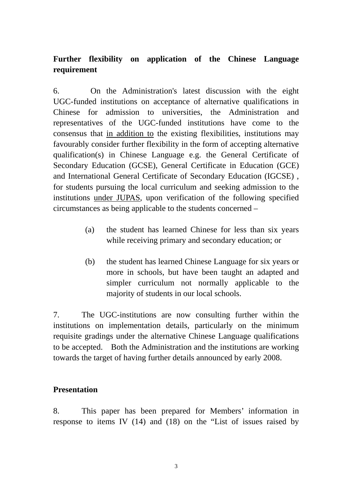# **Further flexibility on application of the Chinese Language requirement**

6. On the Administration's latest discussion with the eight UGC-funded institutions on acceptance of alternative qualifications in Chinese for admission to universities, the Administration and representatives of the UGC-funded institutions have come to the consensus that in addition to the existing flexibilities, institutions may favourably consider further flexibility in the form of accepting alternative qualification(s) in Chinese Language e.g. the General Certificate of Secondary Education (GCSE), General Certificate in Education (GCE) and International General Certificate of Secondary Education (IGCSE) , for students pursuing the local curriculum and seeking admission to the institutions under JUPAS, upon verification of the following specified circumstances as being applicable to the students concerned –

- (a) the student has learned Chinese for less than six years while receiving primary and secondary education; or
- (b) the student has learned Chinese Language for six years or more in schools, but have been taught an adapted and simpler curriculum not normally applicable to the majority of students in our local schools.

7. The UGC-institutions are now consulting further within the institutions on implementation details, particularly on the minimum requisite gradings under the alternative Chinese Language qualifications to be accepted. Both the Administration and the institutions are working towards the target of having further details announced by early 2008.

### **Presentation**

8. This paper has been prepared for Members' information in response to items IV (14) and (18) on the "List of issues raised by